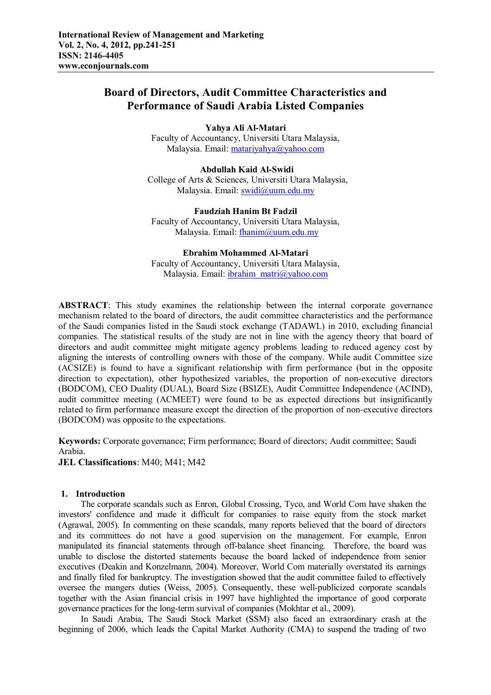**Yahya Ali Al-Matari** Faculty of Accountancy, Universiti Utara Malaysia, Malaysia. Email: matariyahya@yahoo.com

**Abdullah Kaid Al-Swidi**  College of Arts & Sciences, Universiti Utara Malaysia, Malaysia. Email: swidi@uum.edu.my

**Faudziah Hanim Bt Fadzil** Faculty of Accountancy, Universiti Utara Malaysia, Malaysia. Email: fhanim@uum.edu.my

#### **Ebrahim Mohammed Al-Matari**

Faculty of Accountancy, Universiti Utara Malaysia, Malaysia. Email: ibrahim\_matri@yahoo.com

**ABSTRACT**: This study examines the relationship between the internal corporate governance mechanism related to the board of directors, the audit committee characteristics and the performance of the Saudi companies listed in the Saudi stock exchange (TADAWL) in 2010, excluding financial companies. The statistical results of the study are not in line with the agency theory that board of directors and audit committee might mitigate agency problems leading to reduced agency cost by aligning the interests of controlling owners with those of the company. While audit Committee size (ACSIZE) is found to have a significant relationship with firm performance (but in the opposite direction to expectation), other hypothesized variables, the proportion of non-executive directors (BODCOM), CEO Duality (DUAL), Board Size (BSIZE), Audit Committee Independence (ACIND), audit committee meeting (ACMEET) were found to be as expected directions but insignificantly related to firm performance measure except the direction of the proportion of non-executive directors (BODCOM) was opposite to the expectations.

**Keywords:** Corporate governance; Firm performance; Board of directors; Audit committee; Saudi Arabia.

**JEL Classifications**: M40; M41; M42

#### **1. Introduction**

The corporate scandals such as Enron, Global Crossing, Tyco, and World Com have shaken the investors' confidence and made it difficult for companies to raise equity from the stock market (Agrawal, 2005). In commenting on these scandals, many reports believed that the board of directors and its committees do not have a good supervision on the management. For example, Enron manipulated its financial statements through off-balance sheet financing. Therefore, the board was unable to disclose the distorted statements because the board lacked of independence from senior executives (Deakin and Konzelmann, 2004). Moreover, World Com materially overstated its earnings and finally filed for bankruptcy. The investigation showed that the audit committee failed to effectively oversee the mangers duties (Weiss, 2005). Consequently, these well-publicized corporate scandals together with the Asian financial crisis in 1997 have highlighted the importance of good corporate governance practices for the long-term survival of companies (Mokhtar et al., 2009).

In Saudi Arabia, The Saudi Stock Market (SSM) also faced an extraordinary crash at the beginning of 2006, which leads the Capital Market Authority (CMA) to suspend the trading of two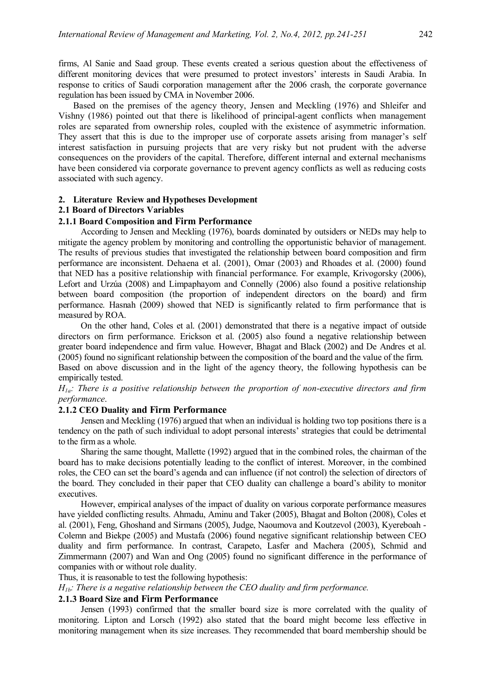firms, Al Sanie and Saad group. These events created a serious question about the effectiveness of different monitoring devices that were presumed to protect investors' interests in Saudi Arabia. In response to critics of Saudi corporation management after the 2006 crash, the corporate governance regulation has been issued by CMA in November 2006.

Based on the premises of the agency theory, Jensen and Meckling (1976) and Shleifer and Vishny (1986) pointed out that there is likelihood of principal-agent conflicts when management roles are separated from ownership roles, coupled with the existence of asymmetric information. They assert that this is due to the improper use of corporate assets arising from manager's self interest satisfaction in pursuing projects that are very risky but not prudent with the adverse consequences on the providers of the capital. Therefore, different internal and external mechanisms have been considered via corporate governance to prevent agency conflicts as well as reducing costs associated with such agency.

#### **2. Literature Review and Hypotheses Development**

#### **2.1 Board of Directors Variables**

#### **2.1.1 Board Composition and Firm Performance**

According to Jensen and Meckling (1976), boards dominated by outsiders or NEDs may help to mitigate the agency problem by monitoring and controlling the opportunistic behavior of management. The results of previous studies that investigated the relationship between board composition and firm performance are inconsistent. Dehaena et al. (2001), Omar (2003) and Rhoades et al. (2000) found that NED has a positive relationship with financial performance. For example, Krivogorsky (2006), Lefort and Urzúa (2008) and Limpaphayom and Connelly (2006) also found a positive relationship between board composition (the proportion of independent directors on the board) and firm performance. Hasnah (2009) showed that NED is significantly related to firm performance that is measured by ROA.

On the other hand, Coles et al. (2001) demonstrated that there is a negative impact of outside directors on firm performance. Erickson et al. (2005) also found a negative relationship between greater board independence and firm value. However, Bhagat and Black (2002) and De Andres et al. (2005) found no significant relationship between the composition of the board and the value of the firm. Based on above discussion and in the light of the agency theory, the following hypothesis can be empirically tested.

*H1a: There is a positive relationship between the proportion of non-executive directors and firm performance*.

#### **2.1.2 CEO Duality and Firm Performance**

Jensen and Meckling (1976) argued that when an individual is holding two top positions there is a tendency on the path of such individual to adopt personal interests' strategies that could be detrimental to the firm as a whole.

Sharing the same thought, Mallette (1992) argued that in the combined roles, the chairman of the board has to make decisions potentially leading to the conflict of interest. Moreover, in the combined roles, the CEO can set the board's agenda and can influence (if not control) the selection of directors of the board. They concluded in their paper that CEO duality can challenge a board's ability to monitor executives.

However, empirical analyses of the impact of duality on various corporate performance measures have yielded conflicting results. Ahmadu, Aminu and Taker (2005), Bhagat and Bolton (2008), Coles et al. (2001), Feng, Ghoshand and Sirmans (2005), Judge, Naoumova and Koutzevol (2003), Kyereboah - Colemn and Biekpe (2005) and Mustafa (2006) found negative significant relationship between CEO duality and firm performance. In contrast, Carapeto, Lasfer and Machera (2005), Schmid and Zimmermann (2007) and Wan and Ong (2005) found no significant difference in the performance of companies with or without role duality.

Thus, it is reasonable to test the following hypothesis:

*H1b: There is a negative relationship between the CEO duality and firm performance.*

#### **2.1.3 Board Size and Firm Performance**

Jensen (1993) confirmed that the smaller board size is more correlated with the quality of monitoring. Lipton and Lorsch (1992) also stated that the board might become less effective in monitoring management when its size increases. They recommended that board membership should be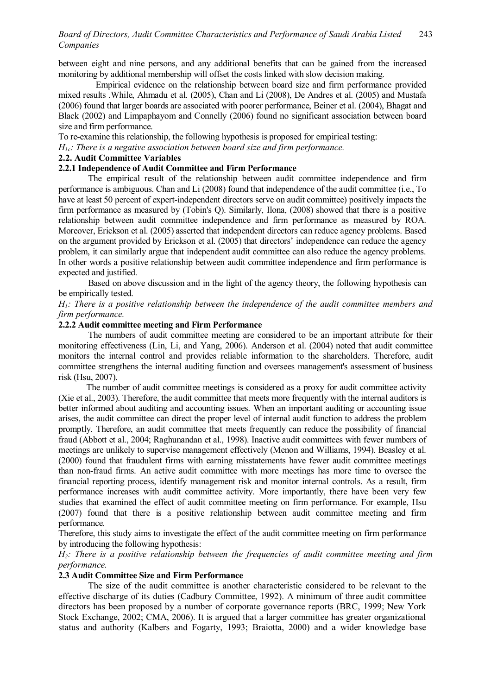between eight and nine persons, and any additional benefits that can be gained from the increased monitoring by additional membership will offset the costs linked with slow decision making.

Empirical evidence on the relationship between board size and firm performance provided mixed results .While, Ahmadu et al. (2005), Chan and Li (2008), De Andres et al. (2005) and Mustafa (2006) found that larger boards are associated with poorer performance, Beiner et al. (2004), Bhagat and Black (2002) and Limpaphayom and Connelly (2006) found no significant association between board size and firm performance.

To re-examine this relationship, the following hypothesis is proposed for empirical testing:

*H1c: There is a negative association between board size and firm performance.*

## **2.2. Audit Committee Variables**

## **2.2.1 Independence of Audit Committee and Firm Performance**

The empirical result of the relationship between audit committee independence and firm performance is ambiguous. Chan and Li (2008) found that independence of the audit committee (i.e., To have at least 50 percent of expert-independent directors serve on audit committee) positively impacts the firm performance as measured by (Tobin's Q). Similarly, Ilona, (2008) showed that there is a positive relationship between audit committee independence and firm performance as measured by ROA. Moreover, Erickson et al. (2005) asserted that independent directors can reduce agency problems. Based on the argument provided by Erickson et al. (2005) that directors' independence can reduce the agency problem, it can similarly argue that independent audit committee can also reduce the agency problems. In other words a positive relationship between audit committee independence and firm performance is expected and justified.

Based on above discussion and in the light of the agency theory, the following hypothesis can be empirically tested.

*H1: There is a positive relationship between the independence of the audit committee members and firm performance.*

## **2.2.2 Audit committee meeting and Firm Performance**

The numbers of audit committee meeting are considered to be an important attribute for their monitoring effectiveness (Lin, Li, and Yang, 2006). Anderson et al. (2004) noted that audit committee monitors the internal control and provides reliable information to the shareholders. Therefore, audit committee strengthens the internal auditing function and oversees management's assessment of business risk (Hsu, 2007).

 The number of audit committee meetings is considered as a proxy for audit committee activity (Xie et al., 2003). Therefore, the audit committee that meets more frequently with the internal auditors is better informed about auditing and accounting issues. When an important auditing or accounting issue arises, the audit committee can direct the proper level of internal audit function to address the problem promptly. Therefore, an audit committee that meets frequently can reduce the possibility of financial fraud (Abbott et al., 2004; Raghunandan et al., 1998). Inactive audit committees with fewer numbers of meetings are unlikely to supervise management effectively (Menon and Williams, 1994). Beasley et al. (2000) found that fraudulent firms with earning misstatements have fewer audit committee meetings than non-fraud firms. An active audit committee with more meetings has more time to oversee the financial reporting process, identify management risk and monitor internal controls. As a result, firm performance increases with audit committee activity. More importantly, there have been very few studies that examined the effect of audit committee meeting on firm performance. For example, Hsu (2007) found that there is a positive relationship between audit committee meeting and firm performance.

Therefore, this study aims to investigate the effect of the audit committee meeting on firm performance by introducing the following hypothesis:

*H2: There is a positive relationship between the frequencies of audit committee meeting and firm performance.*

#### **2.3 Audit Committee Size and Firm Performance**

The size of the audit committee is another characteristic considered to be relevant to the effective discharge of its duties (Cadbury Committee, 1992). A minimum of three audit committee directors has been proposed by a number of corporate governance reports (BRC, 1999; New York Stock Exchange, 2002; CMA, 2006). It is argued that a larger committee has greater organizational status and authority (Kalbers and Fogarty, 1993; Braiotta, 2000) and a wider knowledge base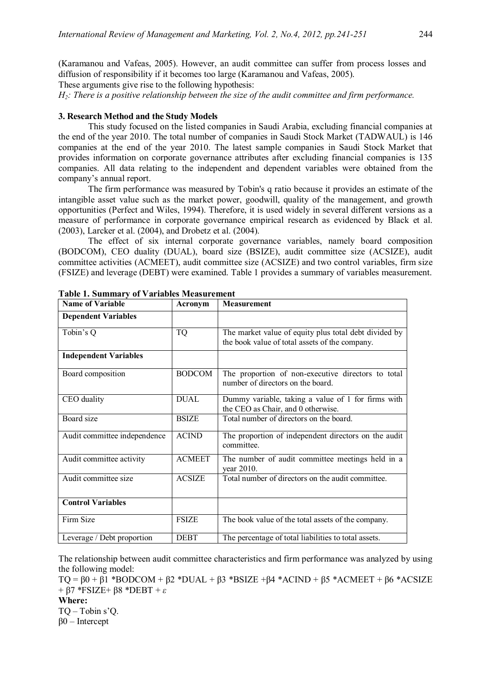(Karamanou and Vafeas, 2005). However, an audit committee can suffer from process losses and diffusion of responsibility if it becomes too large (Karamanou and Vafeas, 2005). These arguments give rise to the following hypothesis:

*H2: There is a positive relationship between the size of the audit committee and firm performance.*

#### **3. Research Method and the Study Models**

This study focused on the listed companies in Saudi Arabia, excluding financial companies at the end of the year 2010. The total number of companies in Saudi Stock Market (TADWAUL) is 146 companies at the end of the year 2010. The latest sample companies in Saudi Stock Market that provides information on corporate governance attributes after excluding financial companies is 135 companies. All data relating to the independent and dependent variables were obtained from the company's annual report.

The firm performance was measured by Tobin's q ratio because it provides an estimate of the intangible asset value such as the market power, goodwill, quality of the management, and growth opportunities (Perfect and Wiles, 1994). Therefore, it is used widely in several different versions as a measure of performance in corporate governance empirical research as evidenced by Black et al. (2003), Larcker et al. (2004), and Drobetz et al. (2004).

The effect of six internal corporate governance variables, namely board composition (BODCOM), CEO duality (DUAL), board size (BSIZE), audit committee size (ACSIZE), audit committee activities (ACMEET), audit committee size (ACSIZE) and two control variables, firm size (FSIZE) and leverage (DEBT) were examined. Table 1 provides a summary of variables measurement.

| <b>Name of Variable</b>      | Acronym       | <b>Measurement</b>                                                                                      |
|------------------------------|---------------|---------------------------------------------------------------------------------------------------------|
| <b>Dependent Variables</b>   |               |                                                                                                         |
| Tobin's Q                    | <b>TQ</b>     | The market value of equity plus total debt divided by<br>the book value of total assets of the company. |
| <b>Independent Variables</b> |               |                                                                                                         |
| Board composition            | <b>BODCOM</b> | The proportion of non-executive directors to total<br>number of directors on the board.                 |
| CEO duality                  | <b>DUAL</b>   | Dummy variable, taking a value of 1 for firms with<br>the CEO as Chair, and 0 otherwise.                |
| Board size                   | <b>BSIZE</b>  | Total number of directors on the board.                                                                 |
| Audit committee independence | <b>ACIND</b>  | The proportion of independent directors on the audit<br>committee.                                      |
| Audit committee activity     | <b>ACMEET</b> | The number of audit committee meetings held in a<br>year 2010.                                          |
| Audit committee size         | <b>ACSIZE</b> | Total number of directors on the audit committee.                                                       |
| <b>Control Variables</b>     |               |                                                                                                         |
| Firm Size                    | <b>FSIZE</b>  | The book value of the total assets of the company.                                                      |
| Leverage / Debt proportion   | <b>DEBT</b>   | The percentage of total liabilities to total assets.                                                    |

**Table 1. Summary of Variables Measurement**

The relationship between audit committee characteristics and firm performance was analyzed by using the following model:

TQ = β0 + β1 \*BODCOM + β2 \*DUAL + β3 \*BSIZE +β4 \*ACIND + β5 \*ACMEET + β6 \*ACSIZE + β7 \*FSIZE+ β8 \*DEBT + *ε*

#### **Where:**

TQ – Tobin s'Q. β0 – Intercept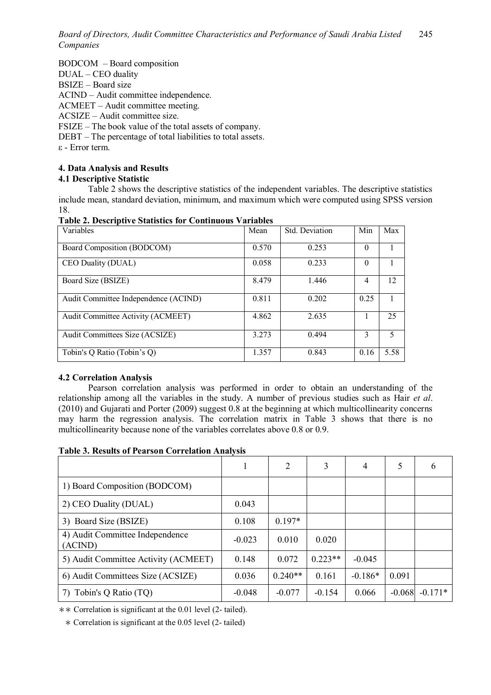BODCOM – Board composition

- DUAL CEO duality
- BSIZE Board size

ACIND – Audit committee independence.

ACMEET – Audit committee meeting.

ACSIZE – Audit committee size.

FSIZE – The book value of the total assets of company.

DEBT – The percentage of total liabilities to total assets.

ε - Error term.

## **4. Data Analysis and Results**

## **4.1 Descriptive Statistic**

Table 2 shows the descriptive statistics of the independent variables. The descriptive statistics include mean, standard deviation, minimum, and maximum which were computed using SPSS version 18.

| <b>Table 2. Descriptive Statistics for Continuous Variables</b> |       |                |          |      |  |  |
|-----------------------------------------------------------------|-------|----------------|----------|------|--|--|
| Variables                                                       | Mean  | Std. Deviation | Min      | Max  |  |  |
| Board Composition (BODCOM)                                      | 0.570 | 0.253          | $\Omega$ |      |  |  |
| CEO Duality (DUAL)                                              | 0.058 | 0.233          | $\theta$ |      |  |  |
| Board Size (BSIZE)                                              | 8.479 | 1.446          | 4        | 12   |  |  |
| Audit Committee Independence (ACIND)                            | 0.811 | 0.202          | 0.25     |      |  |  |
| Audit Committee Activity (ACMEET)                               | 4.862 | 2.635          |          | 25   |  |  |
| Audit Committees Size (ACSIZE)                                  | 3.273 | 0.494          | 3        | 5    |  |  |
| Tobin's Q Ratio (Tobin's Q)                                     | 1.357 | 0.843          | 0.16     | 5.58 |  |  |

## **4.2 Correlation Analysis**

Pearson correlation analysis was performed in order to obtain an understanding of the relationship among all the variables in the study. A number of previous studies such as Hair *et al*. (2010) and Gujarati and Porter (2009) suggest 0.8 at the beginning at which multicollinearity concerns may harm the regression analysis. The correlation matrix in Table 3 shows that there is no multicollinearity because none of the variables correlates above 0.8 or 0.9.

| <b>Table 3. Results of Pearson Correlation Analysis</b> |
|---------------------------------------------------------|
|---------------------------------------------------------|

|                                            |          | 2         | 3         | 4         | 5        | 6         |
|--------------------------------------------|----------|-----------|-----------|-----------|----------|-----------|
| 1) Board Composition (BODCOM)              |          |           |           |           |          |           |
| 2) CEO Duality (DUAL)                      | 0.043    |           |           |           |          |           |
| 3) Board Size (BSIZE)                      | 0.108    | $0.197*$  |           |           |          |           |
| 4) Audit Committee Independence<br>(ACIND) | $-0.023$ | 0.010     | 0.020     |           |          |           |
| 5) Audit Committee Activity (ACMEET)       | 0.148    | 0.072     | $0.223**$ | $-0.045$  |          |           |
| 6) Audit Committees Size (ACSIZE)          | 0.036    | $0.240**$ | 0.161     | $-0.186*$ | 0.091    |           |
| Tobin's Q Ratio (TQ)                       | $-0.048$ | $-0.077$  | $-0.154$  | 0.066     | $-0.068$ | $-0.171*$ |

∗∗ Correlation is significant at the 0.01 level (2- tailed).

∗ Correlation is significant at the 0.05 level (2- tailed)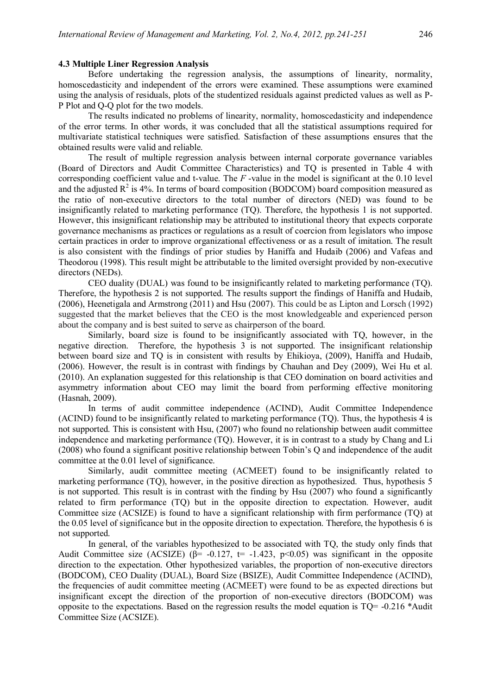#### **4.3 Multiple Liner Regression Analysis**

Before undertaking the regression analysis, the assumptions of linearity, normality, homoscedasticity and independent of the errors were examined. These assumptions were examined using the analysis of residuals, plots of the studentized residuals against predicted values as well as P-P Plot and Q-Q plot for the two models.

The results indicated no problems of linearity, normality, homoscedasticity and independence of the error terms. In other words, it was concluded that all the statistical assumptions required for multivariate statistical techniques were satisfied. Satisfaction of these assumptions ensures that the obtained results were valid and reliable.

The result of multiple regression analysis between internal corporate governance variables (Board of Directors and Audit Committee Characteristics) and TQ is presented in Table 4 with corresponding coefficient value and t-value. The *F* -value in the model is significant at the 0.10 level and the adjusted  $R^2$  is 4%. In terms of board composition (BODCOM) board composition measured as the ratio of non-executive directors to the total number of directors (NED) was found to be insignificantly related to marketing performance (TQ). Therefore, the hypothesis 1 is not supported. However, this insignificant relationship may be attributed to institutional theory that expects corporate governance mechanisms as practices or regulations as a result of coercion from legislators who impose certain practices in order to improve organizational effectiveness or as a result of imitation. The result is also consistent with the findings of prior studies by Haniffa and Hudaib (2006) and Vafeas and Theodorou (1998). This result might be attributable to the limited oversight provided by non-executive directors (NEDs).

CEO duality (DUAL) was found to be insignificantly related to marketing performance (TQ). Therefore, the hypothesis 2 is not supported. The results support the findings of Haniffa and Hudaib, (2006), Heenetigala and Armstrong (2011) and Hsu (2007). This could be as Lipton and Lorsch (1992) suggested that the market believes that the CEO is the most knowledgeable and experienced person about the company and is best suited to serve as chairperson of the board.

Similarly, board size is found to be insignificantly associated with TQ, however, in the negative direction. Therefore, the hypothesis 3 is not supported. The insignificant relationship between board size and TQ is in consistent with results by Ehikioya, (2009), Haniffa and Hudaib, (2006). However, the result is in contrast with findings by Chauhan and Dey (2009), Wei Hu et al. (2010). An explanation suggested for this relationship is that CEO domination on board activities and asymmetry information about CEO may limit the board from performing effective monitoring (Hasnah, 2009).

In terms of audit committee independence (ACIND), Audit Committee Independence (ACIND) found to be insignificantly related to marketing performance (TQ). Thus, the hypothesis 4 is not supported. This is consistent with Hsu, (2007) who found no relationship between audit committee independence and marketing performance (TQ). However, it is in contrast to a study by Chang and Li (2008) who found a significant positive relationship between Tobin's Q and independence of the audit committee at the 0.01 level of significance.

Similarly, audit committee meeting (ACMEET) found to be insignificantly related to marketing performance (TQ), however, in the positive direction as hypothesized. Thus, hypothesis 5 is not supported. This result is in contrast with the finding by Hsu (2007) who found a significantly related to firm performance (TQ) but in the opposite direction to expectation. However, audit Committee size (ACSIZE) is found to have a significant relationship with firm performance (TQ) at the 0.05 level of significance but in the opposite direction to expectation. Therefore, the hypothesis 6 is not supported.

In general, of the variables hypothesized to be associated with TQ, the study only finds that Audit Committee size (ACSIZE) ( $\beta$ = -0.127, t= -1.423, p<0.05) was significant in the opposite direction to the expectation. Other hypothesized variables, the proportion of non-executive directors (BODCOM), CEO Duality (DUAL), Board Size (BSIZE), Audit Committee Independence (ACIND), the frequencies of audit committee meeting (ACMEET) were found to be as expected directions but insignificant except the direction of the proportion of non-executive directors (BODCOM) was opposite to the expectations. Based on the regression results the model equation is TQ= -0.216 \*Audit Committee Size (ACSIZE).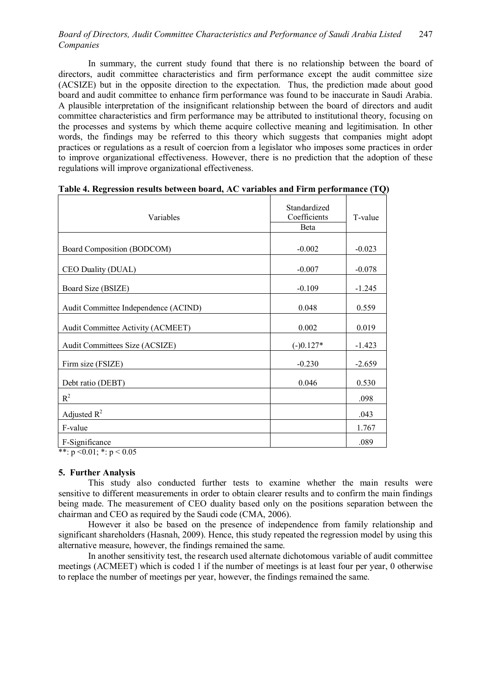In summary, the current study found that there is no relationship between the board of directors, audit committee characteristics and firm performance except the audit committee size (ACSIZE) but in the opposite direction to the expectation. Thus, the prediction made about good board and audit committee to enhance firm performance was found to be inaccurate in Saudi Arabia. A plausible interpretation of the insignificant relationship between the board of directors and audit committee characteristics and firm performance may be attributed to institutional theory, focusing on the processes and systems by which theme acquire collective meaning and legitimisation. In other words, the findings may be referred to this theory which suggests that companies might adopt practices or regulations as a result of coercion from a legislator who imposes some practices in order to improve organizational effectiveness. However, there is no prediction that the adoption of these regulations will improve organizational effectiveness.

| Variables                                                          | Standardized<br>Coefficients<br><b>B</b> eta | T-value  |  |
|--------------------------------------------------------------------|----------------------------------------------|----------|--|
| Board Composition (BODCOM)                                         | $-0.002$                                     | $-0.023$ |  |
| CEO Duality (DUAL)                                                 | $-0.007$                                     | $-0.078$ |  |
| Board Size (BSIZE)                                                 | $-0.109$                                     | $-1.245$ |  |
| Audit Committee Independence (ACIND)                               | 0.048                                        | 0.559    |  |
| Audit Committee Activity (ACMEET)                                  | 0.002                                        | 0.019    |  |
| Audit Committees Size (ACSIZE)                                     | $(-)0.127*$                                  | $-1.423$ |  |
| Firm size (FSIZE)                                                  | $-0.230$                                     | $-2.659$ |  |
| Debt ratio (DEBT)                                                  | 0.046                                        | 0.530    |  |
| $R^2$                                                              |                                              | .098     |  |
| Adjusted $R^2$                                                     |                                              | .043     |  |
| F-value                                                            |                                              | 1.767    |  |
| F-Significance<br>$\sim$ $\sim$ $\sim$ $\sim$<br>0.01 <sub>h</sub> |                                              | .089     |  |

**Table 4. Regression results between board, AC variables and Firm performance (TQ)** 

\*\*:  $p < 0.01$ ; \*:  $p < 0.05$ 

#### **5. Further Analysis**

This study also conducted further tests to examine whether the main results were sensitive to different measurements in order to obtain clearer results and to confirm the main findings being made. The measurement of CEO duality based only on the positions separation between the chairman and CEO as required by the Saudi code (CMA, 2006).

However it also be based on the presence of independence from family relationship and significant shareholders (Hasnah, 2009). Hence, this study repeated the regression model by using this alternative measure, however, the findings remained the same.

In another sensitivity test, the research used alternate dichotomous variable of audit committee meetings (ACMEET) which is coded 1 if the number of meetings is at least four per year, 0 otherwise to replace the number of meetings per year, however, the findings remained the same.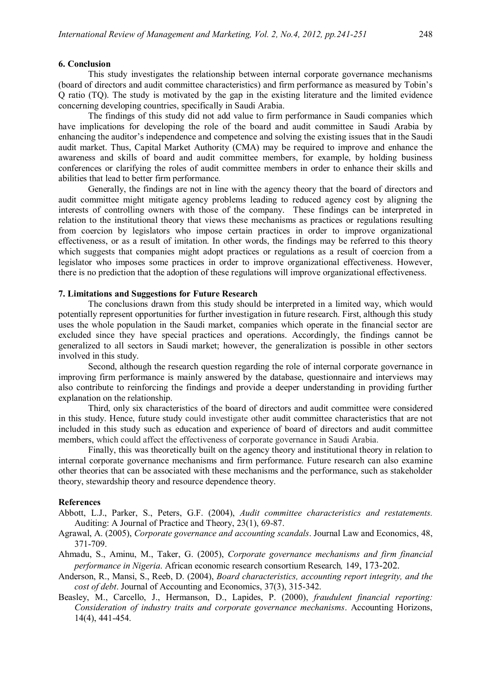#### **6. Conclusion**

This study investigates the relationship between internal corporate governance mechanisms (board of directors and audit committee characteristics) and firm performance as measured by Tobin's Q ratio (TQ). The study is motivated by the gap in the existing literature and the limited evidence concerning developing countries, specifically in Saudi Arabia.

The findings of this study did not add value to firm performance in Saudi companies which have implications for developing the role of the board and audit committee in Saudi Arabia by enhancing the auditor's independence and competence and solving the existing issues that in the Saudi audit market. Thus, Capital Market Authority (CMA) may be required to improve and enhance the awareness and skills of board and audit committee members, for example, by holding business conferences or clarifying the roles of audit committee members in order to enhance their skills and abilities that lead to better firm performance.

Generally, the findings are not in line with the agency theory that the board of directors and audit committee might mitigate agency problems leading to reduced agency cost by aligning the interests of controlling owners with those of the company. These findings can be interpreted in relation to the institutional theory that views these mechanisms as practices or regulations resulting from coercion by legislators who impose certain practices in order to improve organizational effectiveness, or as a result of imitation. In other words, the findings may be referred to this theory which suggests that companies might adopt practices or regulations as a result of coercion from a legislator who imposes some practices in order to improve organizational effectiveness. However, there is no prediction that the adoption of these regulations will improve organizational effectiveness.

#### **7. Limitations and Suggestions for Future Research**

The conclusions drawn from this study should be interpreted in a limited way, which would potentially represent opportunities for further investigation in future research. First, although this study uses the whole population in the Saudi market, companies which operate in the financial sector are excluded since they have special practices and operations. Accordingly, the findings cannot be generalized to all sectors in Saudi market; however, the generalization is possible in other sectors involved in this study.

Second, although the research question regarding the role of internal corporate governance in improving firm performance is mainly answered by the database, questionnaire and interviews may also contribute to reinforcing the findings and provide a deeper understanding in providing further explanation on the relationship.

Third, only six characteristics of the board of directors and audit committee were considered in this study. Hence, future study could investigate other audit committee characteristics that are not included in this study such as education and experience of board of directors and audit committee members, which could affect the effectiveness of corporate governance in Saudi Arabia.

Finally, this was theoretically built on the agency theory and institutional theory in relation to internal corporate governance mechanisms and firm performance. Future research can also examine other theories that can be associated with these mechanisms and the performance, such as stakeholder theory, stewardship theory and resource dependence theory.

#### **References**

- Abbott, L.J., Parker, S., Peters, G.F. (2004), *Audit committee characteristics and restatements.*  Auditing: A Journal of Practice and Theory, 23(1), 69-87.
- Agrawal, A. (2005), *Corporate governance and accounting scandals*. Journal Law and Economics, 48, 371-709.
- Ahmadu, S., Aminu, M., Taker, G. (2005), *Corporate governance mechanisms and firm financial performance in Nigeria*. African economic research consortium Research*,* 149, 173-202.
- Anderson, R., Mansi, S., Reeb, D. (2004), *Board characteristics, accounting report integrity, and the cost of debt*. Journal of Accounting and Economics, 37(3), 315-342.
- Beasley, M., Carcello, J., Hermanson, D., Lapides, P. (2000), *fraudulent financial reporting: Consideration of industry traits and corporate governance mechanisms*. Accounting Horizons, 14(4), 441-454.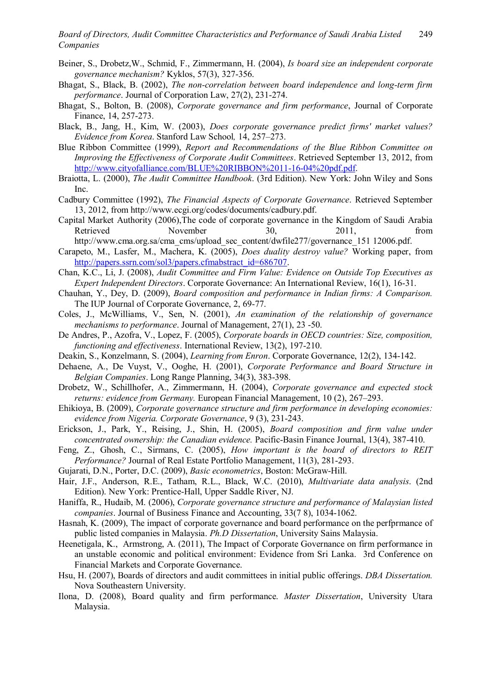- Beiner, S., Drobetz,W., Schmid, F., Zimmermann, H. (2004), *Is board size an independent corporate governance mechanism?* Kyklos, 57(3), 327-356.
- Bhagat, S., Black, B. (2002), *The non-correlation between board independence and long-term firm performance*. Journal of Corporation Law, 27(2), 231-274.
- Bhagat, S., Bolton, B. (2008), *Corporate governance and firm performance*, Journal of Corporate Finance, 14, 257-273.
- Black, B., Jang, H., Kim, W. (2003), *Does corporate governance predict firms' market values? Evidence from Korea*. Stanford Law School*,* 14, 257–273.
- Blue Ribbon Committee (1999), *Report and Recommendations of the Blue Ribbon Committee on Improving the Effectiveness of Corporate Audit Committees*. Retrieved September 13, 2012, from http://www.cityofalliance.com/BLUE%20RIBBON%2011-16-04%20pdf.pdf.
- Braiotta, L. (2000), *The Audit Committee Handbook*. (3rd Edition). New York: John Wiley and Sons Inc.
- Cadbury Committee (1992), *The Financial Aspects of Corporate Governance*. Retrieved September 13, 2012, from http://www.ecgi.org/codes/documents/cadbury.pdf.
- Capital Market Authority (2006),The code of corporate governance in the Kingdom of Saudi Arabia Retrieved November 30, 2011, from

http://www.cma.org.sa/cma\_cms/upload\_sec\_content/dwfile277/governance\_151 12006.pdf.

- Carapeto, M., Lasfer, M., Machera, K. (2005), *Does duality destroy value?* Working paper, from http://papers.ssrn.com/sol3/papers.cfmabstract\_id=686707.
- Chan, K.C., Li, J. (2008), *Audit Committee and Firm Value: Evidence on Outside Top Executives as Expert Independent Directors*. Corporate Governance: An International Review, 16(1), 16-31.
- Chauhan, Y., Dey, D. (2009), *Board composition and performance in Indian firms: A Comparison.* The IUP Journal of Corporate Governance, 2, 69-77.
- Coles, J., McWilliams, V., Sen, N. (2001), *An examination of the relationship of governance mechanisms to performance*. Journal of Management, 27(1), 23 -50.
- De Andres, P., Azofra, V., Lopez, F. (2005), *Corporate boards in OECD countries: Size, composition, functioning and effectiveness*. International Review, 13(2), 197-210.
- Deakin, S., Konzelmann, S. (2004), *Learning from Enron*. Corporate Governance, 12(2), 134-142.
- Dehaene, A., De Vuyst, V., Ooghe, H. (2001), *Corporate Performance and Board Structure in Belgian Companies*. Long Range Planning, 34(3), 383-398.
- Drobetz, W., Schillhofer, A., Zimmermann, H. (2004), *Corporate governance and expected stock returns: evidence from Germany.* European Financial Management, 10 (2), 267–293.
- Ehikioya, B. (2009), *Corporate governance structure and firm performance in developing economies: evidence from Nigeria. Corporate Governance*, 9 (3), 231-243.
- Erickson, J., Park, Y., Reising, J., Shin, H. (2005), *Board composition and firm value under concentrated ownership: the Canadian evidence.* Pacific-Basin Finance Journal, 13(4), 387-410.
- Feng, Z., Ghosh, C., Sirmans, C. (2005), *How important is the board of directors to REIT Performance?* Journal of Real Estate Portfolio Management, 11(3), 281-293.
- Gujarati, D.N., Porter, D.C. (2009), *Basic econometrics*, Boston: McGraw-Hill.
- Hair, J.F., Anderson, R.E., Tatham, R.L., Black, W.C. (2010), *Multivariate data analysis*. (2nd Edition). New York: Prentice-Hall, Upper Saddle River, NJ.
- Haniffa, R., Hudaib, M. (2006), *Corporate governance structure and performance of Malaysian listed companies*. Journal of Business Finance and Accounting, 33(7 8), 1034-1062.
- Hasnah, K. (2009), The impact of corporate governance and board performance on the perfprmance of public listed companies in Malaysia. *Ph.D Dissertation*, University Sains Malaysia.
- Heenetigala, K., Armstrong, A. (2011), The Impact of Corporate Governance on firm performance in an unstable economic and political environment: Evidence from Sri Lanka. 3rd Conference on Financial Markets and Corporate Governance.
- Hsu, H. (2007), Boards of directors and audit committees in initial public offerings. *DBA Dissertation.*  Nova Southeastern University.
- Ilona, D. (2008), Board quality and firm performance. *Master Dissertation*, University Utara Malaysia.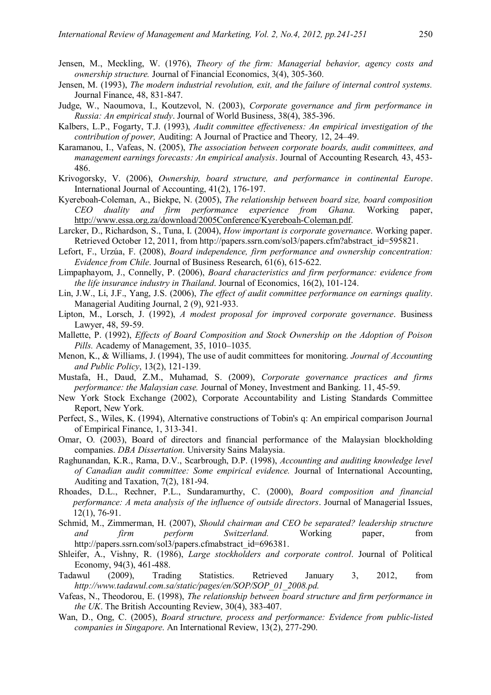- Jensen, M., Meckling, W. (1976), *Theory of the firm: Managerial behavior, agency costs and ownership structure.* Journal of Financial Economics, 3(4), 305-360.
- Jensen, M. (1993), *The modern industrial revolution, exit, and the failure of internal control systems.* Journal Finance, 48, 831-847.
- Judge, W., Naoumova, I., Koutzevol, N. (2003), *Corporate governance and firm performance in Russia: An empirical study*. Journal of World Business, 38(4), 385-396.
- Kalbers, L.P., Fogarty, T.J. (1993), *Audit committee effectiveness: An empirical investigation of the contribution of power,* Auditing: A Journal of Practice and Theory*,* 12, 24–49.
- Karamanou, I., Vafeas, N. (2005), *The association between corporate boards, audit committees, and management earnings forecasts: An empirical analysis*. Journal of Accounting Research*,* 43, 453- 486.
- Krivogorsky, V. (2006), *Ownership, board structure, and performance in continental Europe*. International Journal of Accounting, 41(2), 176-197.
- Kyereboah-Coleman, A., Biekpe, N. (2005), *The relationship between board size, board composition CEO duality and firm performance experience from Ghana.* Working paper, http://www.essa.org.za/download/2005Conference/Kyereboah-Coleman.pdf.
- Larcker, D., Richardson, S., Tuna, I. (2004), *How important is corporate governance*. Working paper. Retrieved October 12, 2011, from http://papers.ssrn.com/sol3/papers.cfm?abstract\_id=595821.
- Lefort, F., Urzúa, F. (2008), *Board independence, firm performance and ownership concentration: Evidence from Chile*. Journal of Business Research, 61(6), 615-622.
- Limpaphayom, J., Connelly, P. (2006), *Board characteristics and firm performance: evidence from the life insurance industry in Thailand*. Journal of Economics, 16(2), 101-124.
- Lin, J.W., Li, J.F., Yang, J.S. (2006), *The effect of audit committee performance on earnings quality*. Managerial Auditing Journal, 2 (9), 921-933.
- Lipton, M., Lorsch, J. (1992), *A modest proposal for improved corporate governance*. Business Lawyer, 48, 59-59.
- Mallette, P. (1992), *Effects of Board Composition and Stock Ownership on the Adoption of Poison Pills.* Academy of Management, 35, 1010–1035.
- Menon, K., & Williams, J. (1994), The use of audit committees for monitoring. *Journal of Accounting and Public Policy*, 13(2), 121-139.
- Mustafa, H., Daud, Z.M., Muhamad, S. (2009), *Corporate governance practices and firms performance: the Malaysian case.* Journal of Money, Investment and Banking. 11, 45-59.
- New York Stock Exchange (2002), Corporate Accountability and Listing Standards Committee Report, New York.
- Perfect, S., Wiles, K. (1994), Alternative constructions of Tobin's q: An empirical comparison Journal of Empirical Finance, 1, 313-341.
- Omar, O. (2003), Board of directors and financial performance of the Malaysian blockholding companies. *DBA Dissertation*. University Sains Malaysia.
- Raghunandan, K.R., Rama, D.V., Scarbrough, D.P. (1998), *Accounting and auditing knowledge level of Canadian audit committee: Some empirical evidence.* Journal of International Accounting, Auditing and Taxation, 7(2), 181-94.
- Rhoades, D.L., Rechner, P.L., Sundaramurthy, C. (2000), *Board composition and financial performance: A meta analysis of the influence of outside directors*. Journal of Managerial Issues, 12(1), 76-91.
- Schmid, M., Zimmerman, H. (2007), *Should chairman and CEO be separated? leadership structure and firm perform Switzerland.* Working paper, from http://papers.ssrn.com/sol3/papers.cfmabstract\_id=696381.
- Shleifer, A., Vishny, R. (1986), *Large stockholders and corporate control*. Journal of Political Economy, 94(3), 461-488.
- Tadawul (2009), Trading Statistics. Retrieved January 3, 2012, from *http://www.tadawul.com.sa/static/pages/en/SOP/SOP\_01\_2008.pd.*
- Vafeas, N., Theodorou, E. (1998), *The relationship between board structure and firm performance in the UK*. The British Accounting Review, 30(4), 383-407.
- Wan, D., Ong, C. (2005), *Board structure, process and performance: Evidence from public-listed companies in Singapore*. An International Review, 13(2), 277-290.